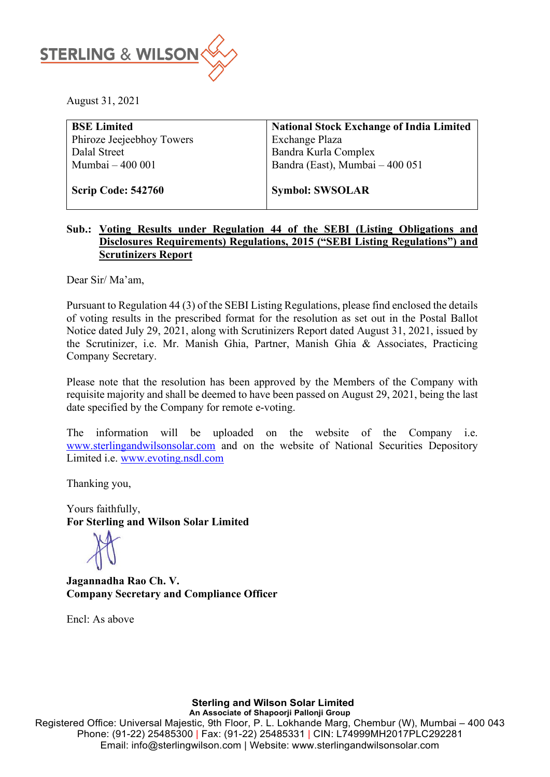

August 31, 2021

| <b>BSE Limited</b>        | <b>National Stock Exchange of India Limited</b> |
|---------------------------|-------------------------------------------------|
| Phiroze Jeejeebhoy Towers | Exchange Plaza                                  |
| Dalal Street              | Bandra Kurla Complex                            |
| Mumbai - 400 001          | Bandra (East), Mumbai - 400 051                 |
|                           |                                                 |
| Scrip Code: 542760        | <b>Symbol: SWSOLAR</b>                          |

# **Sub.: Voting Results under Regulation 44 of the SEBI (Listing Obligations and Disclosures Requirements) Regulations, 2015 ("SEBI Listing Regulations") and Scrutinizers Report**

Dear Sir/ Ma'am,

Pursuant to Regulation 44 (3) of the SEBI Listing Regulations, please find enclosed the details of voting results in the prescribed format for the resolution as set out in the Postal Ballot Notice dated July 29, 2021, along with Scrutinizers Report dated August 31, 2021, issued by the Scrutinizer, i.e. Mr. Manish Ghia, Partner, Manish Ghia & Associates, Practicing Company Secretary.

Please note that the resolution has been approved by the Members of the Company with requisite majority and shall be deemed to have been passed on August 29, 2021, being the last date specified by the Company for remote e-voting.

The information will be uploaded on the website of the Company i.e. [www.sterlingandwilsonsolar.com](http://www.sterlingandwilsonsolar.com/) and on the website of National Securities Depository Limited i.e. [www.evoting.nsdl.com](http://www.evoting.nsdl.com/)

Thanking you,

Yours faithfully, **For Sterling and Wilson Solar Limited** 

**Jagannadha Rao Ch. V. Company Secretary and Compliance Officer** 

Encl: As above

**Sterling and Wilson Solar Limited An Associate of Shapoorji Pallonji Group** Registered Office: Universal Majestic, 9th Floor, P. L. Lokhande Marg, Chembur (W), Mumbai – 400 043 Phone: (91-22) 25485300 | Fax: (91-22) 25485331 | CIN: L74999MH2017PLC292281 Email: info@sterlingwilson.com | Website: www.sterlingandwilsonsolar.com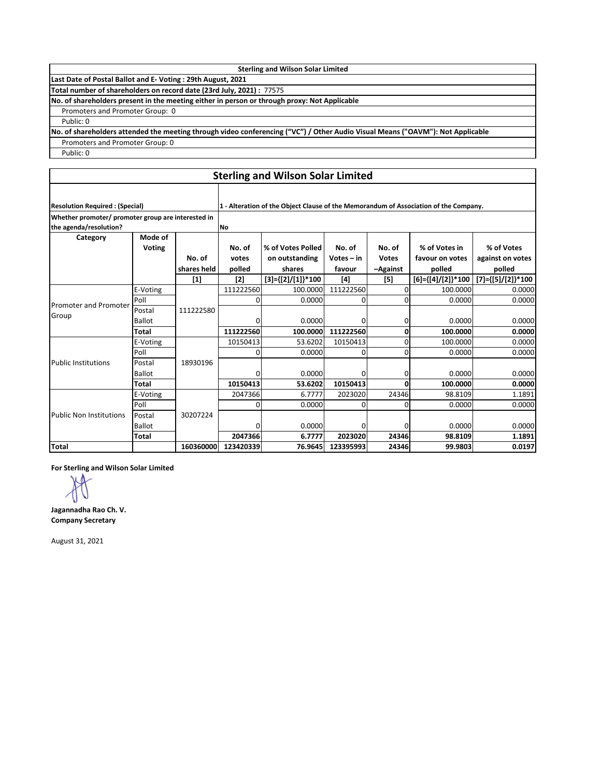| <b>Sterling and Wilson Solar Limited</b>                              |  |  |  |  |  |  |
|-----------------------------------------------------------------------|--|--|--|--|--|--|
| Last Date of Postal Ballot and E-Voting: 29th August, 2021            |  |  |  |  |  |  |
| Total number of shareholders on record date (23rd July, 2021) : 77575 |  |  |  |  |  |  |

**No. of shareholders present in the meeting either in person or through proxy: Not Applicable**

Promoters and Promoter Group: 0

Public: 0

No. of shareholders attended the meeting through video conferencing ("VC") / Other Audio Visual Means ("OAVM"): Not Applicable

Promoters and Promoter Group: 0

Public: 0

#### **Sterling and Wilson Solar Limited** ┐

| <b>Resolution Required: (Special)</b>                                        |               | 1 - Alteration of the Object Clause of the Memorandum of Association of the Company. |              |                              |              |              |                              |                   |
|------------------------------------------------------------------------------|---------------|--------------------------------------------------------------------------------------|--------------|------------------------------|--------------|--------------|------------------------------|-------------------|
| Whether promoter/ promoter group are interested in<br>the agenda/resolution? |               |                                                                                      | <b>No</b>    |                              |              |              |                              |                   |
| Category                                                                     | Mode of       |                                                                                      |              |                              |              |              |                              |                   |
|                                                                              | Voting        |                                                                                      | No. of       | % of Votes Polled            | No. of       | No. of       | % of Votes in                | % of Votes        |
|                                                                              |               | No. of                                                                               | votes        | on outstanding               | $Votes - in$ | <b>Votes</b> | favour on votes              | against on votes  |
|                                                                              |               | shares held                                                                          | polled       | shares                       | favour       | -Against     | polled                       | polled            |
|                                                                              |               | $[1]$                                                                                | [2]          | $[3] = \{ [2] / [1] \}$ *100 | [4]          | $[5]$        | $[6] = \{ [4] / [2] \}$ *100 | [7]={[5]/[2]}*100 |
|                                                                              | E-Voting      |                                                                                      | 111222560    | 100.0000                     | 111222560    | ŋ            | 100.0000                     | 0.0000            |
| <b>Promoter and Promoter</b>                                                 | Poll          |                                                                                      | <sup>0</sup> | 0.0000                       | 0            |              | 0.0000                       | 0.0000            |
| Group                                                                        | Postal        | 111222580                                                                            |              |                              |              |              |                              |                   |
|                                                                              | <b>Ballot</b> |                                                                                      | 0            | 0.0000                       | 0            | 0            | 0.0000                       | 0.0000            |
|                                                                              | Total         |                                                                                      | 111222560    | 100.0000                     | 111222560    | 0            | 100.0000                     | 0.0000            |
|                                                                              | E-Voting      | 18930196                                                                             | 10150413     | 53.6202                      | 10150413     | 0            | 100.0000                     | 0.0000            |
|                                                                              | Poll          |                                                                                      | 0            | 0.0000                       | 0            | 0            | 0.0000                       | 0.0000            |
| <b>Public Institutions</b>                                                   | Postal        |                                                                                      |              |                              |              |              |                              |                   |
|                                                                              | <b>Ballot</b> |                                                                                      | 0            | 0.0000                       | 0            | 0            | 0.0000                       | 0.0000            |
|                                                                              | Total         |                                                                                      | 10150413     | 53.6202                      | 10150413     |              | 100.0000                     | 0.0000            |
| <b>Public Non Institutions</b>                                               | E-Voting      | 30207224                                                                             | 2047366      | 6.7777                       | 2023020      | 24346        | 98.8109                      | 1.1891            |
|                                                                              | Poll          |                                                                                      | $\Omega$     | 0.0000                       | 0            | n            | 0.0000                       | 0.0000            |
|                                                                              | Postal        |                                                                                      |              |                              |              |              |                              |                   |
|                                                                              | <b>Ballot</b> |                                                                                      | $\Omega$     | 0.0000                       | 0            | ŋ            | 0.0000                       | 0.0000            |
|                                                                              | <b>Total</b>  |                                                                                      | 2047366      | 6.7777                       | 2023020      | 24346        | 98.8109                      | 1.1891            |
| Total                                                                        |               | 160360000                                                                            | 123420339    | 76.9645                      | 123395993    | 24346        | 99.9803                      | 0.0197            |

**For Sterling and Wilson Solar Limited**

**Jagannadha Rao Ch. V. Company Secretary**

August 31, 2021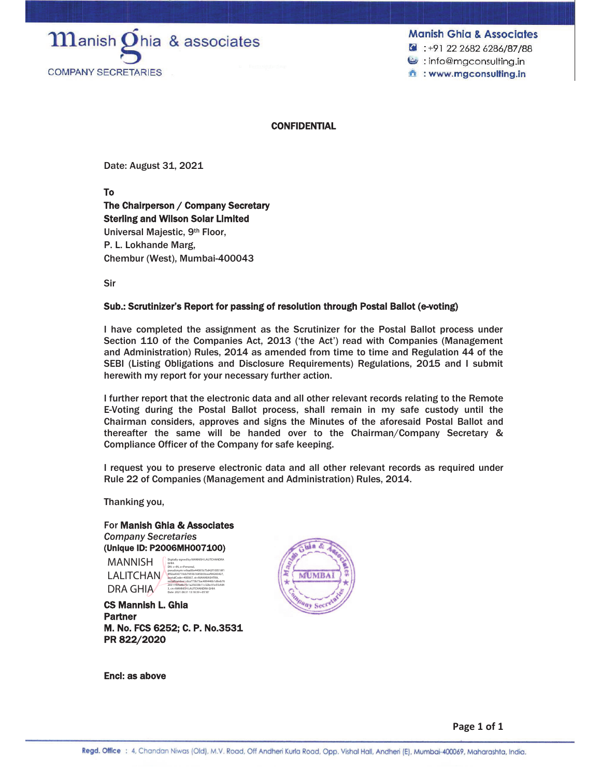

**Manish Ghia & Associates**  $\bullet$  : +91 22 2682 6286/87/88  $\bullet$ : info@mgconsulting.in twww.mgconsulting.in

### **CONFIDENTIAL**

Date: August 31, 2021

To

## The Chairperson / Company Secretary Sterling and Wilson Solar Limited

Universal Majestic, 9th Floor, P. L. Lokhande Marg, Chembur (West), Mumbai-400043

Sir

#### Sub.: Scrutinizer's Report for passing of resolution through Postal Ballot (e-voting)

I have completed the assignment as the Scrutinizer for the Postal Ballot process under Section 110 of the Companies Act, 2013 ('the Act') read with Companies (Management and Administration) Rules, 2014 as amended from time to time and Regulation 44 of the SEBI (Listing Obligations and Disclosure Requirements) Regulations, 2015 and I submit herewith my report for your necessary further action.

I further report that the electronic data and all other relevant records relating to the Remote E-Voting during the Postal Ballot process, shall remain in my safe custody until the Chairman considers, approves and signs the Minutes of the aforesaid Postal Ballot and thereafter the same will be handed over to the Chairman/Company Secretary & Compliance Officer of the Company for safe keeping.

I request you to preserve electronic data and all other relevant records as required under Rule 22 of Companies (Management and Administration) Rules, 2014.

Thanking you,

For Manish Ghia & Associates *Company Secretaries* (Unique ID: P2006MH007100)

 MANNISH LALITCHAN DRA GHIA

Digitally signed by MANNISH LALITCHANDRA GHIA DN: c=IN, o=Personal, pseudonym=e9aa06e44081b75d42f100518f1 8f92a436719cb7955b1645b59ceef94283427, postalCode=400067, st=MAHARASHTRA, serialNumber=dca773b73ac489446b1d6eb76 28311f84a8b79c1a25633b11c32bc91e55cfd4 3, cn=MANNISH LALITCHANDRA GHIA Date: 2021.08.31 13:18:39 +05'30'

CS Mannish L. Ghia Partner M. No. FCS 6252; C. P. No.3531 PR 822/2020



Encl: as above

**Page 1 of 1**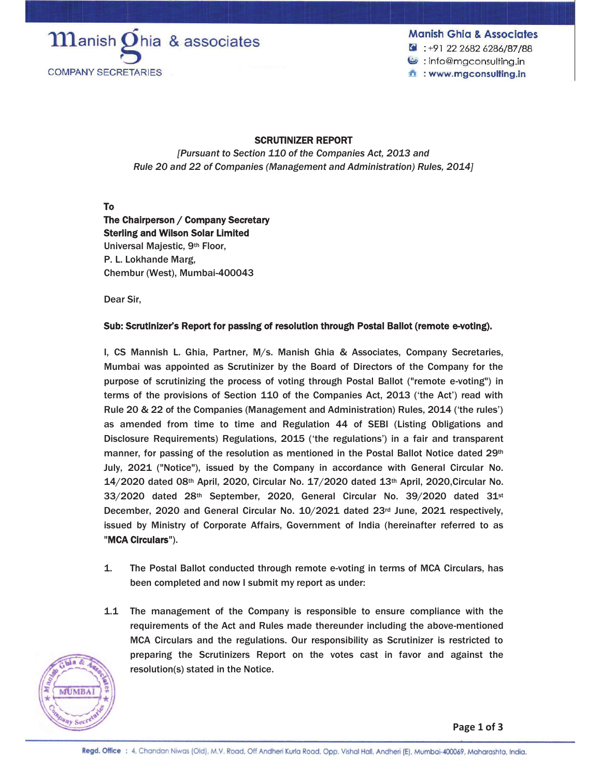

**Manish Ghia & Associates**  $\frac{1}{2}$  : +91 22 2682 6286/87/88  $\bullet$ : info@mgconsulting.in the : www.mgconsulting.in

### SCRUTINIZER REPORT

*[Pursuant to Section 110 of the Companies Act, 2013 and Rule 20 and 22 of Companies (Management and Administration) Rules, 2014]* 

To

## The Chairperson / Company Secretary Sterling and Wilson Solar Limited Universal Majestic, 9th Floor, P. L. Lokhande Marg, Chembur (West), Mumbai-400043

Dear Sir,

### Sub: Scrutinizer's Report for passing of resolution through Postal Ballot (remote e-voting).

I, CS Mannish L. Ghia, Partner, M/s. Manish Ghia & Associates, Company Secretaries, Mumbai was appointed as Scrutinizer by the Board of Directors of the Company for the purpose of scrutinizing the process of voting through Postal Ballot ("remote e-voting") in terms of the provisions of Section 110 of the Companies Act, 2013 ('the Act') read with Rule 20 & 22 of the Companies (Management and Administration) Rules, 2014 ('the rules') as amended from time to time and Regulation 44 of SEBI (Listing Obligations and Disclosure Requirements) Regulations, 2015 ('the regulations') in a fair and transparent manner, for passing of the resolution as mentioned in the Postal Ballot Notice dated 29th July, 2021 ("Notice"), issued by the Company in accordance with General Circular No.  $14/2020$  dated 08<sup>th</sup> April, 2020, Circular No.  $17/2020$  dated  $13$ <sup>th</sup> April, 2020, Circular No.  $33/2020$  dated  $28th$  September, 2020, General Circular No. 39/2020 dated  $31st$ December, 2020 and General Circular No. 10/2021 dated 23<sup>rd</sup> June, 2021 respectively, issued by Ministry of Corporate Affairs, Government of India (hereinafter referred to as "MCA Circulars").

- 1. The Postal Ballot conducted through remote e-voting in terms of MCA Circulars, has been completed and now I submit my report as under:
- 1.1 The management of the Company is responsible to ensure compliance with the requirements of the Act and Rules made thereunder including the above-mentioned MCA Circulars and the regulations. Our responsibility as Scrutinizer is restricted to preparing the Scrutinizers Report on the votes cast in favor and against the resolution(s) stated in the Notice.

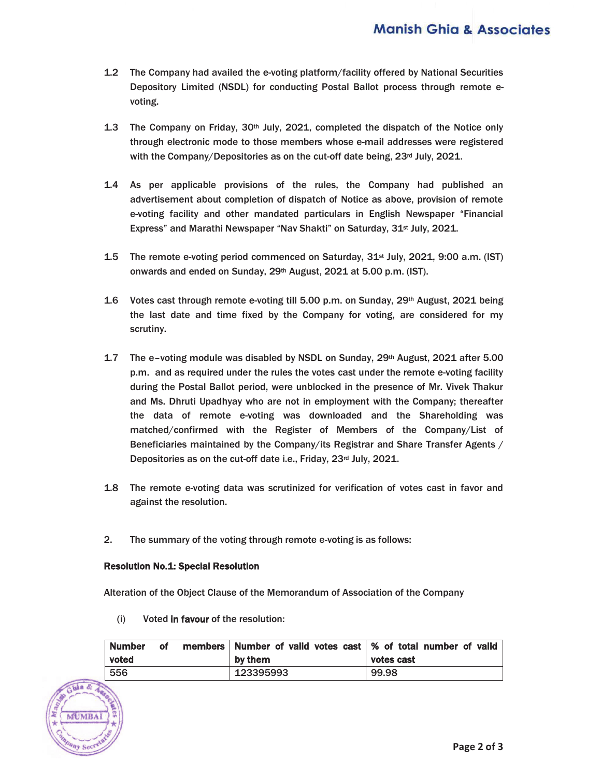- 1.2 The Company had availed the e-voting platform/facility offered by National Securities Depository Limited (NSDL) for conducting Postal Ballot process through remote evoting.
- 1.3 The Company on Friday,  $30<sup>th</sup>$  July, 2021, completed the dispatch of the Notice only through electronic mode to those members whose e-mail addresses were registered with the Company/Depositories as on the cut-off date being, 23rd July, 2021.
- 1.4 As per applicable provisions of the rules, the Company had published an advertisement about completion of dispatch of Notice as above, provision of remote e-voting facility and other mandated particulars in English Newspaper "Financial Express" and Marathi Newspaper "Nav Shakti" on Saturday, 31<sup>st</sup> July, 2021.
- 1.5 The remote e-voting period commenced on Saturday, 31st July, 2021, 9:00 a.m. (IST) onwards and ended on Sunday, 29th August, 2021 at 5.00 p.m. (IST).
- 1.6 Votes cast through remote e-voting till 5.00 p.m. on Sunday, 29th August, 2021 being the last date and time fixed by the Company for voting, are considered for my scrutiny.
- 1.7 The e-voting module was disabled by NSDL on Sunday,  $29<sup>th</sup>$  August,  $2021$  after 5.00 p.m. and as required under the rules the votes cast under the remote e-voting facility during the Postal Ballot period, were unblocked in the presence of Mr. Vivek Thakur and Ms. Dhruti Upadhyay who are not in employment with the Company; thereafter the data of remote e-voting was downloaded and the Shareholding was matched/confirmed with the Register of Members of the Company/List of Beneficiaries maintained by the Company/its Registrar and Share Transfer Agents / Depositories as on the cut-off date i.e., Friday, 23rd July, 2021.
- 1.8 The remote e-voting data was scrutinized for verification of votes cast in favor and against the resolution.
- 2. The summary of the voting through remote e-voting is as follows:

## Resolution No.1: Special Resolution

Alteration of the Object Clause of the Memorandum of Association of the Company

(i) Voted in favour of the resolution:

| <b>Number</b> | оf | members l |           | Number of valid votes cast   % of total number of valid |
|---------------|----|-----------|-----------|---------------------------------------------------------|
| voted         |    |           | by them   | votes cast                                              |
| 556           |    |           | 123395993 | 99.98                                                   |